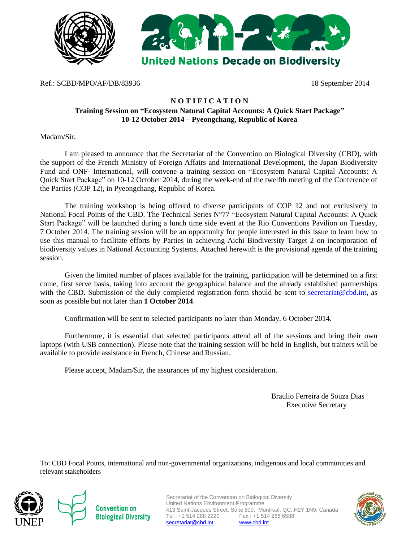



Ref.: SCBD/MPO/AF/DB/83936 18 September 2014

## **N O T I F I C A T I O N**

## **Training Session on "Ecosystem Natural Capital Accounts: A Quick Start Package" 10-12 October 2014 – Pyeongchang, Republic of Korea**

Madam/Sir,

I am pleased to announce that the Secretariat of the Convention on Biological Diversity (CBD), with the support of the French Ministry of Foreign Affairs and International Development, the Japan Biodiversity Fund and ONF- International, will convene a training session on "Ecosystem Natural Capital Accounts: A Quick Start Package" on 10-12 October 2014, during the week-end of the twelfth meeting of the Conference of the Parties (COP 12), in Pyeongchang, Republic of Korea.

The training workshop is being offered to diverse participants of COP 12 and not exclusively to National Focal Points of the CBD. The Technical Series N°77 "Ecosystem Natural Capital Accounts: A Quick Start Package" will be launched during a lunch time side event at the Rio Conventions Pavilion on Tuesday, 7 October 2014. The training session will be an opportunity for people interested in this issue to learn how to use this manual to facilitate efforts by Parties in achieving Aichi Biodiversity Target 2 on incorporation of biodiversity values in National Accounting Systems. Attached herewith is the provisional agenda of the training session.

Given the limited number of places available for the training, participation will be determined on a first come, first serve basis, taking into account the geographical balance and the already established partnerships with the CBD. Submission of the duly completed registration form should be sent to [secretariat@cbd.int,](mailto:secretariat@cbd.int) as soon as possible but not later than **1 October 2014**.

Confirmation will be sent to selected participants no later than Monday, 6 October 2014.

Furthermore, it is essential that selected participants attend all of the sessions and bring their own laptops (with USB connection). Please note that the training session will be held in English, but trainers will be available to provide assistance in French, Chinese and Russian.

Please accept, Madam/Sir, the assurances of my highest consideration.

 Braulio Ferreira de Souza Dias Executive Secretary

To: CBD Focal Points, international and non-governmental organizations, indigenous and local communities and relevant stakeholders



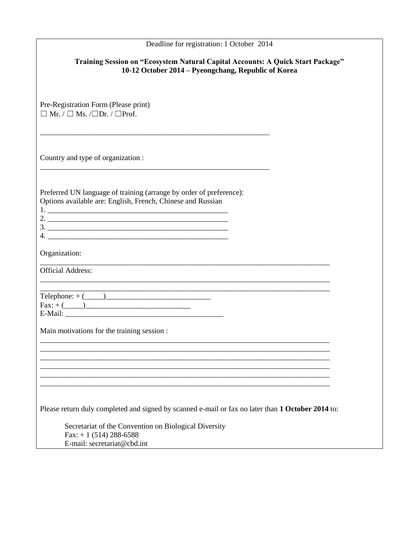| Deadline for registration: 1 October 2014                                                                                              |  |  |  |  |
|----------------------------------------------------------------------------------------------------------------------------------------|--|--|--|--|
| Training Session on "Ecosystem Natural Capital Accounts: A Quick Start Package"<br>10-12 October 2014 – Pyeongchang, Republic of Korea |  |  |  |  |
| Pre-Registration Form (Please print)<br>$\Box$ Mr. / $\Box$ Ms. / $\Box$ Dr. / $\Box$ Prof.                                            |  |  |  |  |
| Country and type of organization :                                                                                                     |  |  |  |  |
| Preferred UN language of training (arrange by order of preference):<br>Options available are: English, French, Chinese and Russian     |  |  |  |  |
| Organization:<br><u> 1989 - Johann Barn, mars ann an t-Amhainn an t-Amhainn an t-Amhainn an t-Amhainn an t-Amhainn an t-Amhainn an</u> |  |  |  |  |
| <b>Official Address:</b>                                                                                                               |  |  |  |  |
| $\text{Telephone: } + (\_\_)$                                                                                                          |  |  |  |  |
| Main motivations for the training session :                                                                                            |  |  |  |  |
|                                                                                                                                        |  |  |  |  |
|                                                                                                                                        |  |  |  |  |
|                                                                                                                                        |  |  |  |  |
| Please return duly completed and signed by scanned e-mail or fax no later than 1 October 2014 to:                                      |  |  |  |  |
| Secretariat of the Convention on Biological Diversity<br>Fax: $+ 1$ (514) 288-6588<br>E-mail: secretariat@cbd.int                      |  |  |  |  |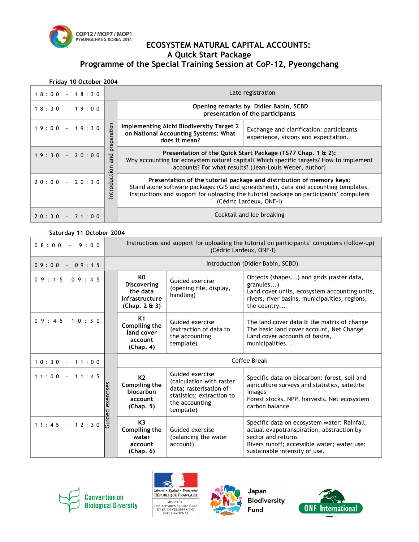

# **COP12/MOP7/MOP1**<br>PYEONGCHANG KOREA 2014 **ECOSYSTEM NATURAL CAPITAL ACCOUNTS: A Quick Start Package Programme of the Special Training Session at CoP-12, Pyeongchang**

#### **Friday 10 October 2004**

| $18:00 - 18:30$ | Late registration                                                                                                                                                                                                                                                                 |  |  |  |
|-----------------|-----------------------------------------------------------------------------------------------------------------------------------------------------------------------------------------------------------------------------------------------------------------------------------|--|--|--|
| $18:30 - 19:00$ | Opening remarks by Didier Babin, SCBD<br>presentation of the participants                                                                                                                                                                                                         |  |  |  |
| $19:00 - 19:30$ | ration<br>Implementing Aichi Biodiversity Target 2<br>Exchange and clarification: participants<br>on National Accounting Systems: What<br>experience, visions and expectation.<br>σ<br>does it mean?<br>$\Omega$<br>ၑ                                                             |  |  |  |
| $19:30 - 20:00$ | Presentation of the Quick Start Package (TS77 Chap. 1 & 2):<br>Why accounting for ecosystem natural capital? Which specific targets? How to implement<br>accounts? For what results? (Jean-Louis Weber, author)                                                                   |  |  |  |
| $20:00 - 20:30$ | Presentation of the tutorial package and distribution of memory keys:<br>Stand alone software packages (GIS and spreadsheet), data and accounting templates.<br>Instructions and support for uploading the tutorial package on participants' computers<br>(Cédric Lardeux, ONF-I) |  |  |  |
| $20:30 - 21:00$ | Cocktail and Ice breaking                                                                                                                                                                                                                                                         |  |  |  |

#### **Saturday 11 October 2004**

| $0.8:0.0 - 9:0.0$ |                  | Instructions and support for uploading the tutorial on participants' computers (follow-up)<br>(Cédric Lardeux, ONF-I) |                                                                                                                                   |                                                                                                                                                                                                |
|-------------------|------------------|-----------------------------------------------------------------------------------------------------------------------|-----------------------------------------------------------------------------------------------------------------------------------|------------------------------------------------------------------------------------------------------------------------------------------------------------------------------------------------|
| $09:00 - 09:15$   |                  | Introduction (Didier Babin, SCBD)                                                                                     |                                                                                                                                   |                                                                                                                                                                                                |
| $0.9:1.5$ 0.9:45  |                  | K0<br><b>Discovering</b><br>the data<br>infrastructure<br>(Chap. $2 \& 3$ )                                           | Guided exercise<br>(opening file, display,<br>handling)                                                                           | Objects (shapes) and grids (raster data,<br>granules)<br>Land cover units, ecosystem accounting units,<br>rivers, river basins, municipalities, regions,<br>the country                        |
| 09:4510:30        |                  | K <sub>1</sub><br>Compiling the<br>land cover<br>account<br>(Chap. 4)                                                 | Guided exercise<br>(extraction of data to<br>the accounting<br>template)                                                          | The land cover data $\theta$ the matrix of change<br>The basic land cover account, Net Change<br>Land cover accounts of basins,<br>municipalities                                              |
| $10:30 - 11:00$   |                  | Coffee Break                                                                                                          |                                                                                                                                   |                                                                                                                                                                                                |
| $11:00 - 11:45$   | Guided exercises | K <sub>2</sub><br>Compiling the<br>biocarbon<br>account<br>(Chap. 5)                                                  | Guided exercise<br>(calculation with raster<br>data; rasterisation of<br>statistics; extraction to<br>the accounting<br>template) | Specific data on biocarbon: forest, soil and<br>agriculture surveys and statistics, satellite<br>images<br>Forest stocks, NPP, harvests, Net ecosystem<br>carbon balance                       |
| $11:45 - 12:30$   |                  | K <sub>3</sub><br>Compiling the<br>water<br>account<br>(Chap. 6)                                                      | Guided exercise<br>(balancing the water<br>account)                                                                               | Specific data on ecosystem water: Rainfall,<br>actual evapotranspiration, abstraction by<br>sector and returns<br>Rivers runoff; accessible water; water use;<br>sustainable intensity of use. |







**Biodiversity**